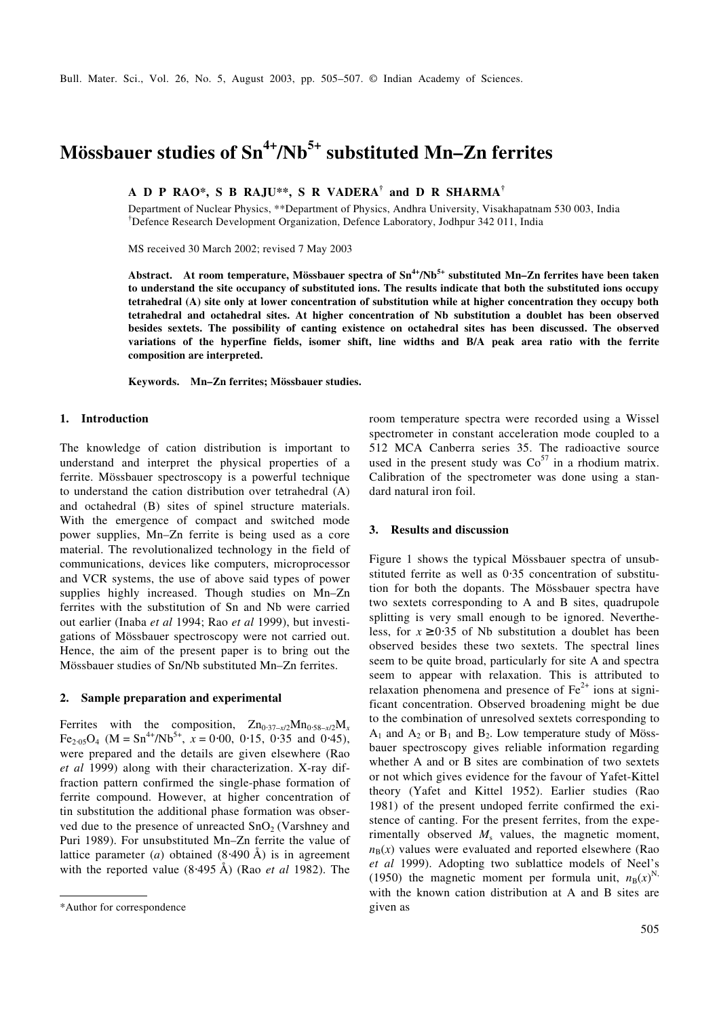# **Mössbauer studies of Sn4+/Nb5+ substituted Mn–Zn ferrites**

**A D P RAO\*, S B RAJU\*\*, S R VADERA† and D R SHARMA†**

Department of Nuclear Physics, \*\*Department of Physics, Andhra University, Visakhapatnam 530 003, India †Defence Research Development Organization, Defence Laboratory, Jodhpur 342 011, India

MS received 30 March 2002; revised 7 May 2003

**Abstract. At room temperature, Mössbauer spectra of Sn4+/Nb5+ substituted Mn–Zn ferrites have been taken to understand the site occupancy of substituted ions. The results indicate that both the substituted ions occupy tetrahedral (A) site only at lower concentration of substitution while at higher concentration they occupy both tetrahedral and octahedral sites. At higher concentration of Nb substitution a doublet has been observed besides sextets. The possibility of canting existence on octahedral sites has been discussed. The observed variations of the hyperfine fields, isomer shift, line widths and B/A peak area ratio with the ferrite composition are interpreted.**

**Keywords. Mn–Zn ferrites; Mössbauer studies.**

## **1. Introduction**

The knowledge of cation distribution is important to understand and interpret the physical properties of a ferrite. Mössbauer spectroscopy is a powerful technique to understand the cation distribution over tetrahedral (A) and octahedral (B) sites of spinel structure materials. With the emergence of compact and switched mode power supplies, Mn–Zn ferrite is being used as a core material. The revolutionalized technology in the field of communications, devices like computers, microprocessor and VCR systems, the use of above said types of power supplies highly increased. Though studies on Mn–Zn ferrites with the substitution of Sn and Nb were carried out earlier (Inaba *et al* 1994; Rao *et al* 1999), but investigations of Mössbauer spectroscopy were not carried out. Hence, the aim of the present paper is to bring out the Mössbauer studies of Sn/Nb substituted Mn–Zn ferrites.

#### **2. Sample preparation and experimental**

Ferrites with the composition,  $Zn_{0.37-x/2}Mn_{0.58-x/2}M_x$  $Fe_{2.05}O_4$  (M = Sn<sup>4+</sup>/Nb<sup>5+</sup>,  $x = 0.00, 0.15, 0.35$  and 0.45), were prepared and the details are given elsewhere (Rao *et al* 1999) along with their characterization. X-ray diffraction pattern confirmed the single-phase formation of ferrite compound. However, at higher concentration of tin substitution the additional phase formation was observed due to the presence of unreacted  $SnO<sub>2</sub>$  (Varshney and Puri 1989). For unsubstituted Mn–Zn ferrite the value of lattice parameter (*a*) obtained (8⋅490 Å) is in agreement with the reported value (8⋅495 Å) (Rao *et al* 1982). The

room temperature spectra were recorded using a Wissel spectrometer in constant acceleration mode coupled to a 512 MCA Canberra series 35. The radioactive source used in the present study was  $\text{Co}^{57}$  in a rhodium matrix. Calibration of the spectrometer was done using a standard natural iron foil.

#### **3. Results and discussion**

Figure 1 shows the typical Mössbauer spectra of unsubstituted ferrite as well as 0⋅35 concentration of substitution for both the dopants. The Mössbauer spectra have two sextets corresponding to A and B sites, quadrupole splitting is very small enough to be ignored. Nevertheless, for  $x \ge 0.35$  of Nb substitution a doublet has been observed besides these two sextets. The spectral lines seem to be quite broad, particularly for site A and spectra seem to appear with relaxation. This is attributed to relaxation phenomena and presence of  $Fe<sup>2+</sup>$  ions at significant concentration. Observed broadening might be due to the combination of unresolved sextets corresponding to  $A_1$  and  $A_2$  or  $B_1$  and  $B_2$ . Low temperature study of Mössbauer spectroscopy gives reliable information regarding whether A and or B sites are combination of two sextets or not which gives evidence for the favour of Yafet-Kittel theory (Yafet and Kittel 1952). Earlier studies (Rao 1981) of the present undoped ferrite confirmed the existence of canting. For the present ferrites, from the experimentally observed  $M_s$  values, the magnetic moment,  $n_{\rm B}(x)$  values were evaluated and reported elsewhere (Rao *et al* 1999). Adopting two sublattice models of Neel's (1950) the magnetic moment per formula unit,  $n_B(x)^N$ , with the known cation distribution at A and B sites are

<sup>\*</sup>Author for correspondence given as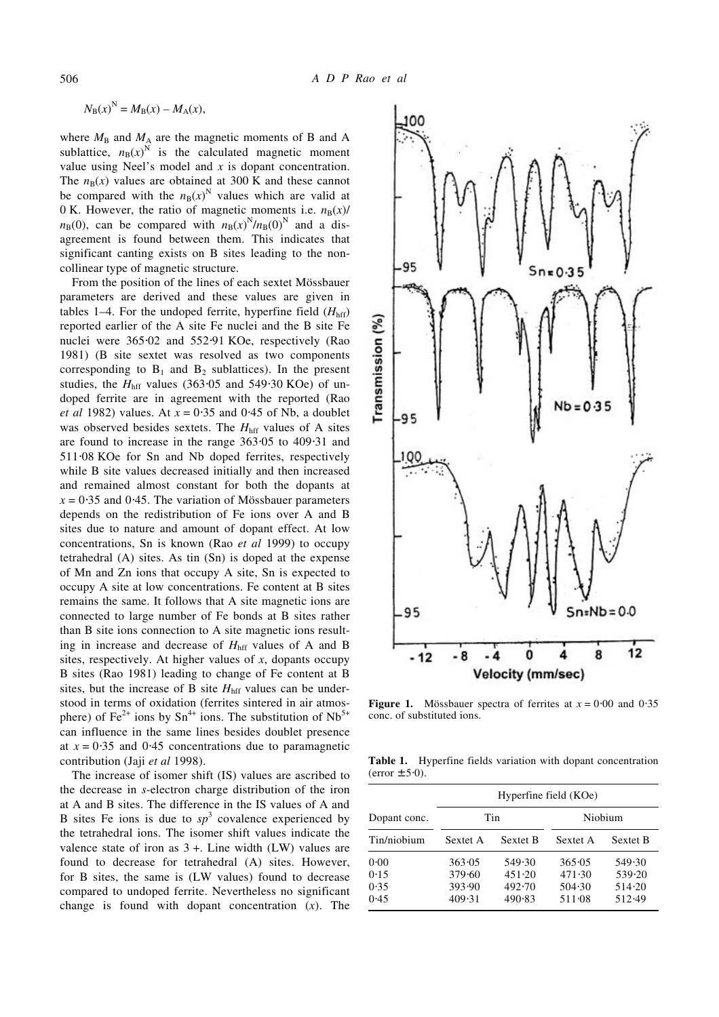$$
N_{\rm B}(x)^{\rm N} = M_{\rm B}(x) - M_{\rm A}(x),
$$

where  $M_B$  and  $M_A$  are the magnetic moments of B and A sublattice,  $n_B(x)^N$  is the calculated magnetic moment value using Neel's model and *x* is dopant concentration. The  $n_B(x)$  values are obtained at 300 K and these cannot be compared with the  $n_B(x)^N$  values which are valid at 0 K. However, the ratio of magnetic moments i.e.  $n_B(x)$ /  $n_{\text{B}}(0)$ , can be compared with  $n_{\text{B}}(x)^{N}/n_{\text{B}}(0)^{N}$  and a disagreement is found between them. This indicates that significant canting exists on B sites leading to the noncollinear type of magnetic structure.

From the position of the lines of each sextet Mössbauer parameters are derived and these values are given in tables 1–4. For the undoped ferrite, hyperfine field  $(H<sub>hff</sub>)$ reported earlier of the A site Fe nuclei and the B site Fe nuclei were 365⋅02 and 552⋅91 KOe, respectively (Rao 1981) (B site sextet was resolved as two components corresponding to  $B_1$  and  $B_2$  sublattices). In the present studies, the  $H<sub>hff</sub>$  values (363⋅05 and 549⋅30 KOe) of undoped ferrite are in agreement with the reported (Rao *et al* 1982) values. At *x* = 0⋅35 and 0⋅45 of Nb, a doublet was observed besides sextets. The  $H<sub>hff</sub>$  values of A sites are found to increase in the range 363⋅05 to 409⋅31 and 511⋅08 KOe for Sn and Nb doped ferrites, respectively while B site values decreased initially and then increased and remained almost constant for both the dopants at  $x = 0.35$  and 0.45. The variation of Mössbauer parameters depends on the redistribution of Fe ions over A and B sites due to nature and amount of dopant effect. At low concentrations, Sn is known (Rao *et al* 1999) to occupy tetrahedral (A) sites. As tin (Sn) is doped at the expense of Mn and Zn ions that occupy A site, Sn is expected to occupy A site at low concentrations. Fe content at B sites remains the same. It follows that A site magnetic ions are connected to large number of Fe bonds at B sites rather than B site ions connection to A site magnetic ions resulting in increase and decrease of  $H<sub>hff</sub>$  values of A and B sites, respectively. At higher values of *x*, dopants occupy B sites (Rao 1981) leading to change of Fe content at B sites, but the increase of B site  $H<sub>hff</sub>$  values can be understood in terms of oxidation (ferrites sintered in air atmosphere) of  $Fe^{2+}$  ions by  $Sn^{4+}$  ions. The substitution of  $Nb^{5+}$ can influence in the same lines besides doublet presence at  $x = 0.35$  and 0.45 concentrations due to paramagnetic contribution (Jaji *et al* 1998).

The increase of isomer shift (IS) values are ascribed to the decrease in *s*-electron charge distribution of the iron at A and B sites. The difference in the IS values of A and B sites Fe ions is due to  $sp^3$  covalence experienced by the tetrahedral ions. The isomer shift values indicate the valence state of iron as  $3 +$ . Line width (LW) values are found to decrease for tetrahedral (A) sites. However, for B sites, the same is (LW values) found to decrease compared to undoped ferrite. Nevertheless no significant change is found with dopant concentration (*x*). The



**Figure 1.** Mössbauer spectra of ferrites at  $x = 0.00$  and  $0.35$ conc. of substituted ions.

**Table 1.** Hyperfine fields variation with dopant concentration  $(error \pm 5.0).$ 

|                              | Hyperfine field (KOe)                |                                      |                                      |                                      |
|------------------------------|--------------------------------------|--------------------------------------|--------------------------------------|--------------------------------------|
| Dopant conc.                 | Tin                                  |                                      | Niobium                              |                                      |
| Tin/niobium                  | Sextet A                             | <b>Sextet B</b>                      | Sextet A                             | <b>Sextet B</b>                      |
| 0.00<br>0.15<br>0.35<br>0.45 | 363.05<br>379.60<br>393.90<br>409.31 | 549.30<br>451.20<br>492.70<br>490.83 | 365.05<br>471.30<br>504.30<br>511.08 | 549.30<br>539.20<br>514.20<br>512.49 |